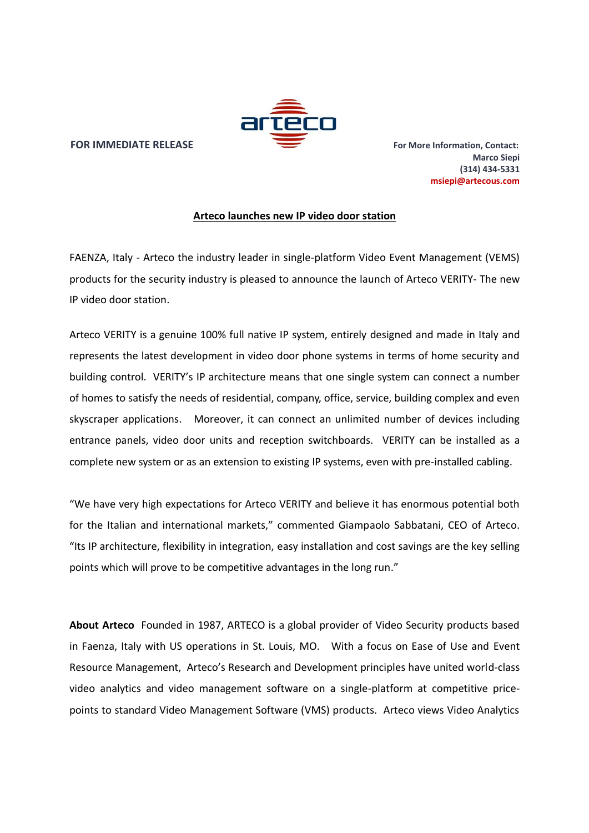

## **FOR IMMEDIATE RELEASE For More Information, Contact:**

**Marco Siepi (314) 434-5331 msiepi@artecous.com**

## **Arteco launches new IP video door station**

FAENZA, Italy - Arteco the industry leader in single-platform Video Event Management (VEMS) products for the security industry is pleased to announce the launch of Arteco VERITY- The new IP video door station.

Arteco VERITY is a genuine 100% full native IP system, entirely designed and made in Italy and represents the latest development in video door phone systems in terms of home security and building control. VERITY's IP architecture means that one single system can connect a number of homes to satisfy the needs of residential, company, office, service, building complex and even skyscraper applications. Moreover, it can connect an unlimited number of devices including entrance panels, video door units and reception switchboards. VERITY can be installed as a complete new system or as an extension to existing IP systems, even with pre-installed cabling.

"We have very high expectations for Arteco VERITY and believe it has enormous potential both for the Italian and international markets," commented Giampaolo Sabbatani, CEO of Arteco. "Its IP architecture, flexibility in integration, easy installation and cost savings are the key selling points which will prove to be competitive advantages in the long run."

**About Arteco** Founded in 1987, ARTECO is a global provider of Video Security products based in Faenza, Italy with US operations in St. Louis, MO. With a focus on Ease of Use and Event Resource Management, Arteco's Research and Development principles have united world-class video analytics and video management software on a single-platform at competitive price points to standard Video Management Software (VMS) products. Arteco views Video Analytics